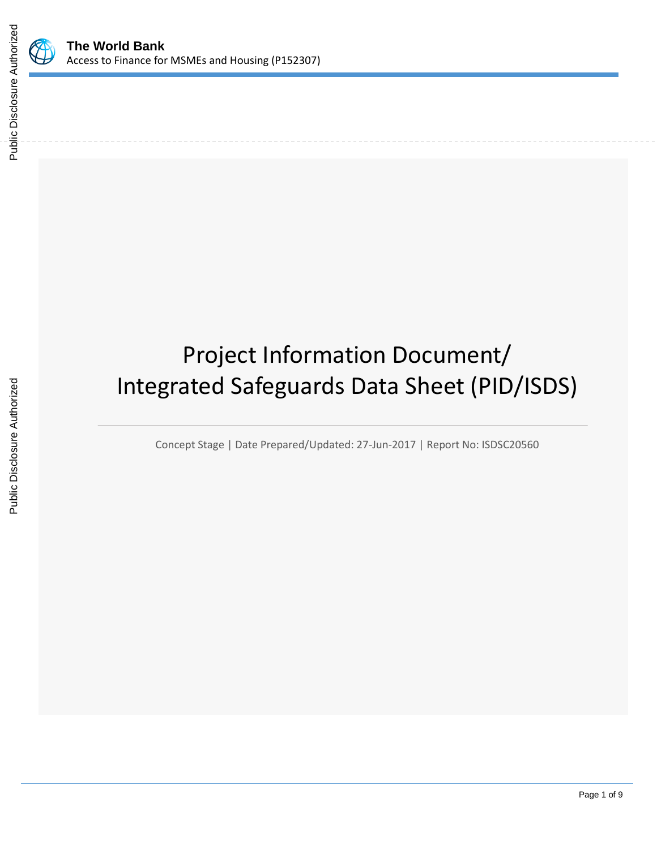

# Project Information Document/ Integrated Safeguards Data Sheet (PID/ISDS)

Concept Stage | Date Prepared/Updated: 27-Jun-2017 | Report No: ISDSC20560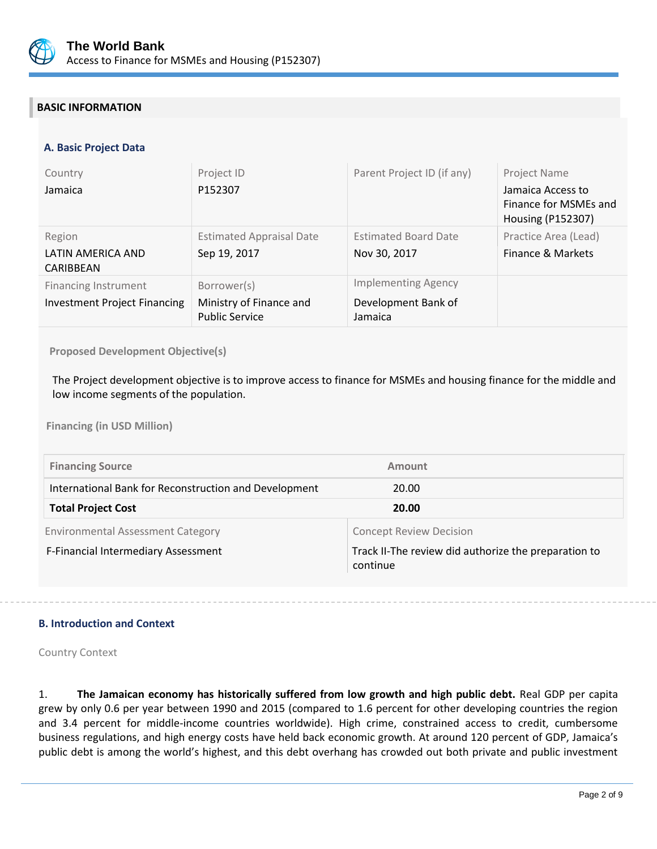

# **BASIC INFORMATION**

# **A. Basic Project Data**

| Country<br>Jamaica                                                 | Project ID<br>P152307                                           | Parent Project ID (if any)                                   | Project Name<br>Jamaica Access to<br>Finance for MSMEs and<br>Housing (P152307) |
|--------------------------------------------------------------------|-----------------------------------------------------------------|--------------------------------------------------------------|---------------------------------------------------------------------------------|
| Region<br>LATIN AMERICA AND<br>CARIBBEAN                           | <b>Estimated Appraisal Date</b><br>Sep 19, 2017                 | <b>Estimated Board Date</b><br>Nov 30, 2017                  | Practice Area (Lead)<br>Finance & Markets                                       |
| <b>Financing Instrument</b><br><b>Investment Project Financing</b> | Borrower(s)<br>Ministry of Finance and<br><b>Public Service</b> | <b>Implementing Agency</b><br>Development Bank of<br>Jamaica |                                                                                 |

**Proposed Development Objective(s)** 

The Project development objective is to improve access to finance for MSMEs and housing finance for the middle and low income segments of the population.

**Financing (in USD Million)**

| <b>Financing Source</b>                               | Amount                                                           |
|-------------------------------------------------------|------------------------------------------------------------------|
| International Bank for Reconstruction and Development | 20.00                                                            |
| <b>Total Project Cost</b>                             | 20.00                                                            |
| <b>Environmental Assessment Category</b>              | <b>Concept Review Decision</b>                                   |
| F-Financial Intermediary Assessment                   | Track II-The review did authorize the preparation to<br>continue |

# **B. Introduction and Context**

Country Context

1. **The Jamaican economy has historically suffered from low growth and high public debt.** Real GDP per capita grew by only 0.6 per year between 1990 and 2015 (compared to 1.6 percent for other developing countries the region and 3.4 percent for middle-income countries worldwide). High crime, constrained access to credit, cumbersome business regulations, and high energy costs have held back economic growth. At around 120 percent of GDP, Jamaica's public debt is among the world's highest, and this debt overhang has crowded out both private and public investment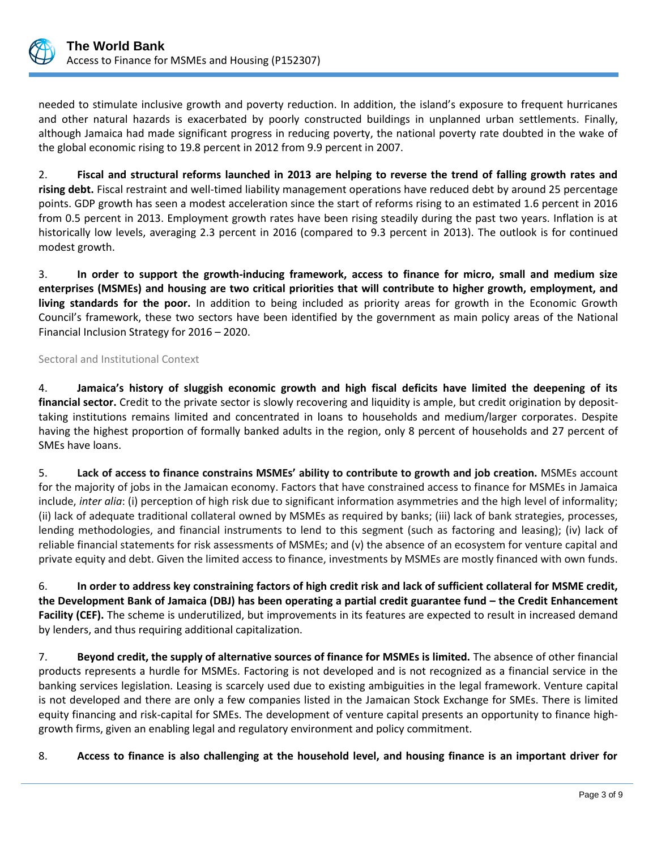

needed to stimulate inclusive growth and poverty reduction. In addition, the island's exposure to frequent hurricanes and other natural hazards is exacerbated by poorly constructed buildings in unplanned urban settlements. Finally, although Jamaica had made significant progress in reducing poverty, the national poverty rate doubted in the wake of the global economic rising to 19.8 percent in 2012 from 9.9 percent in 2007.

2. **Fiscal and structural reforms launched in 2013 are helping to reverse the trend of falling growth rates and rising debt.** Fiscal restraint and well-timed liability management operations have reduced debt by around 25 percentage points. GDP growth has seen a modest acceleration since the start of reforms rising to an estimated 1.6 percent in 2016 from 0.5 percent in 2013. Employment growth rates have been rising steadily during the past two years. Inflation is at historically low levels, averaging 2.3 percent in 2016 (compared to 9.3 percent in 2013). The outlook is for continued modest growth.

3. **In order to support the growth-inducing framework, access to finance for micro, small and medium size enterprises (MSMEs) and housing are two critical priorities that will contribute to higher growth, employment, and living standards for the poor.** In addition to being included as priority areas for growth in the Economic Growth Council's framework, these two sectors have been identified by the government as main policy areas of the National Financial Inclusion Strategy for 2016 – 2020.

# Sectoral and Institutional Context

4. **Jamaica's history of sluggish economic growth and high fiscal deficits have limited the deepening of its financial sector.** Credit to the private sector is slowly recovering and liquidity is ample, but credit origination by deposittaking institutions remains limited and concentrated in loans to households and medium/larger corporates. Despite having the highest proportion of formally banked adults in the region, only 8 percent of households and 27 percent of SMEs have loans.

5. **Lack of access to finance constrains MSMEs' ability to contribute to growth and job creation.** MSMEs account for the majority of jobs in the Jamaican economy. Factors that have constrained access to finance for MSMEs in Jamaica include, *inter alia*: (i) perception of high risk due to significant information asymmetries and the high level of informality; (ii) lack of adequate traditional collateral owned by MSMEs as required by banks; (iii) lack of bank strategies, processes, lending methodologies, and financial instruments to lend to this segment (such as factoring and leasing); (iv) lack of reliable financial statements for risk assessments of MSMEs; and (v) the absence of an ecosystem for venture capital and private equity and debt. Given the limited access to finance, investments by MSMEs are mostly financed with own funds.

6. **In order to address key constraining factors of high credit risk and lack of sufficient collateral for MSME credit, the Development Bank of Jamaica (DBJ) has been operating a partial credit guarantee fund – the Credit Enhancement Facility (CEF).** The scheme is underutilized, but improvements in its features are expected to result in increased demand by lenders, and thus requiring additional capitalization.

7. **Beyond credit, the supply of alternative sources of finance for MSMEs is limited.** The absence of other financial products represents a hurdle for MSMEs. Factoring is not developed and is not recognized as a financial service in the banking services legislation. Leasing is scarcely used due to existing ambiguities in the legal framework. Venture capital is not developed and there are only a few companies listed in the Jamaican Stock Exchange for SMEs. There is limited equity financing and risk-capital for SMEs. The development of venture capital presents an opportunity to finance highgrowth firms, given an enabling legal and regulatory environment and policy commitment.

8. **Access to finance is also challenging at the household level, and housing finance is an important driver for**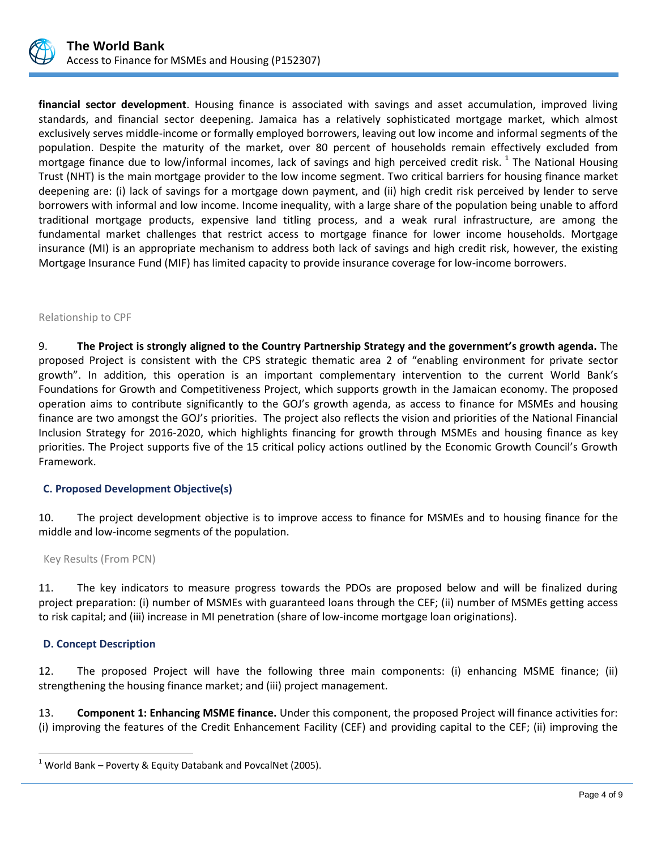

**financial sector development**. Housing finance is associated with savings and asset accumulation, improved living standards, and financial sector deepening. Jamaica has a relatively sophisticated mortgage market, which almost exclusively serves middle-income or formally employed borrowers, leaving out low income and informal segments of the population. Despite the maturity of the market, over 80 percent of households remain effectively excluded from mortgage finance due to low/informal incomes, lack of savings and high perceived credit risk.  $^1$  The National Housing Trust (NHT) is the main mortgage provider to the low income segment. Two critical barriers for housing finance market deepening are: (i) lack of savings for a mortgage down payment, and (ii) high credit risk perceived by lender to serve borrowers with informal and low income. Income inequality, with a large share of the population being unable to afford traditional mortgage products, expensive land titling process, and a weak rural infrastructure, are among the fundamental market challenges that restrict access to mortgage finance for lower income households. Mortgage insurance (MI) is an appropriate mechanism to address both lack of savings and high credit risk, however, the existing Mortgage Insurance Fund (MIF) has limited capacity to provide insurance coverage for low-income borrowers.

#### Relationship to CPF

9. **The Project is strongly aligned to the Country Partnership Strategy and the government's growth agenda.** The proposed Project is consistent with the CPS strategic thematic area 2 of "enabling environment for private sector growth". In addition, this operation is an important complementary intervention to the current World Bank's Foundations for Growth and Competitiveness Project, which supports growth in the Jamaican economy. The proposed operation aims to contribute significantly to the GOJ's growth agenda, as access to finance for MSMEs and housing finance are two amongst the GOJ's priorities. The project also reflects the vision and priorities of the National Financial Inclusion Strategy for 2016-2020, which highlights financing for growth through MSMEs and housing finance as key priorities. The Project supports five of the 15 critical policy actions outlined by the Economic Growth Council's Growth Framework.

# **C. Proposed Development Objective(s)**

10. The project development objective is to improve access to finance for MSMEs and to housing finance for the middle and low-income segments of the population.

Key Results (From PCN)

11. The key indicators to measure progress towards the PDOs are proposed below and will be finalized during project preparation: (i) number of MSMEs with guaranteed loans through the CEF; (ii) number of MSMEs getting access to risk capital; and (iii) increase in MI penetration (share of low-income mortgage loan originations).

# **D. Concept Description**

 $\overline{a}$ 

12. The proposed Project will have the following three main components: (i) enhancing MSME finance; (ii) strengthening the housing finance market; and (iii) project management.

13. **Component 1: Enhancing MSME finance.** Under this component, the proposed Project will finance activities for: (i) improving the features of the Credit Enhancement Facility (CEF) and providing capital to the CEF; (ii) improving the

<sup>&</sup>lt;sup>1</sup> World Bank – Poverty & Equity Databank and PovcalNet (2005).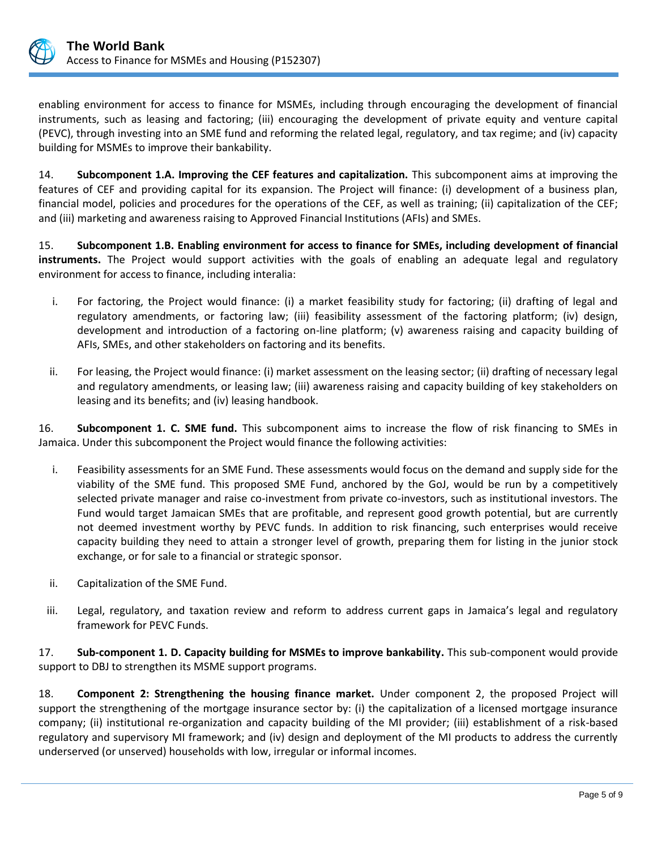

enabling environment for access to finance for MSMEs, including through encouraging the development of financial instruments, such as leasing and factoring; (iii) encouraging the development of private equity and venture capital (PEVC), through investing into an SME fund and reforming the related legal, regulatory, and tax regime; and (iv) capacity building for MSMEs to improve their bankability.

14. **Subcomponent 1.A. Improving the CEF features and capitalization.** This subcomponent aims at improving the features of CEF and providing capital for its expansion. The Project will finance: (i) development of a business plan, financial model, policies and procedures for the operations of the CEF, as well as training; (ii) capitalization of the CEF; and (iii) marketing and awareness raising to Approved Financial Institutions (AFIs) and SMEs.

15. **Subcomponent 1.B. Enabling environment for access to finance for SMEs, including development of financial instruments.** The Project would support activities with the goals of enabling an adequate legal and regulatory environment for access to finance, including interalia:

- i. For factoring, the Project would finance: (i) a market feasibility study for factoring; (ii) drafting of legal and regulatory amendments, or factoring law; (iii) feasibility assessment of the factoring platform; (iv) design, development and introduction of a factoring on-line platform; (v) awareness raising and capacity building of AFIs, SMEs, and other stakeholders on factoring and its benefits.
- ii. For leasing, the Project would finance: (i) market assessment on the leasing sector; (ii) drafting of necessary legal and regulatory amendments, or leasing law; (iii) awareness raising and capacity building of key stakeholders on leasing and its benefits; and (iv) leasing handbook.

16. **Subcomponent 1. C. SME fund.** This subcomponent aims to increase the flow of risk financing to SMEs in Jamaica. Under this subcomponent the Project would finance the following activities:

- i. Feasibility assessments for an SME Fund. These assessments would focus on the demand and supply side for the viability of the SME fund. This proposed SME Fund, anchored by the GoJ, would be run by a competitively selected private manager and raise co-investment from private co-investors, such as institutional investors. The Fund would target Jamaican SMEs that are profitable, and represent good growth potential, but are currently not deemed investment worthy by PEVC funds. In addition to risk financing, such enterprises would receive capacity building they need to attain a stronger level of growth, preparing them for listing in the junior stock exchange, or for sale to a financial or strategic sponsor.
- ii. Capitalization of the SME Fund.
- iii. Legal, regulatory, and taxation review and reform to address current gaps in Jamaica's legal and regulatory framework for PEVC Funds.

17. **Sub-component 1. D. Capacity building for MSMEs to improve bankability.** This sub-component would provide support to DBJ to strengthen its MSME support programs.

18. **Component 2: Strengthening the housing finance market.** Under component 2, the proposed Project will support the strengthening of the mortgage insurance sector by: (i) the capitalization of a licensed mortgage insurance company; (ii) institutional re-organization and capacity building of the MI provider; (iii) establishment of a risk-based regulatory and supervisory MI framework; and (iv) design and deployment of the MI products to address the currently underserved (or unserved) households with low, irregular or informal incomes.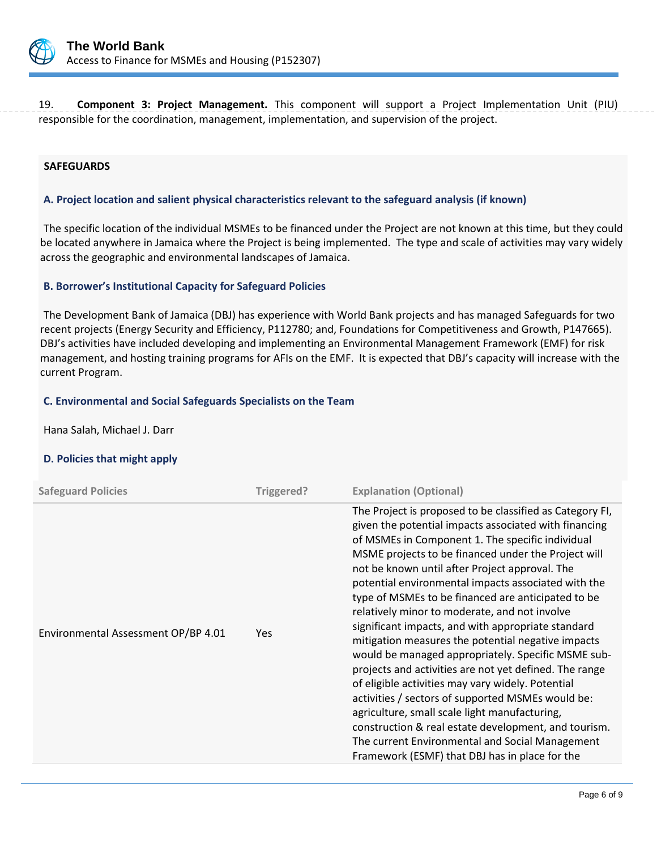

19. **Component 3: Project Management.** This component will support a Project Implementation Unit (PIU) responsible for the coordination, management, implementation, and supervision of the project.

#### **SAFEGUARDS**

#### **A. Project location and salient physical characteristics relevant to the safeguard analysis (if known)**

The specific location of the individual MSMEs to be financed under the Project are not known at this time, but they could be located anywhere in Jamaica where the Project is being implemented. The type and scale of activities may vary widely across the geographic and environmental landscapes of Jamaica.

#### **B. Borrower's Institutional Capacity for Safeguard Policies**

The Development Bank of Jamaica (DBJ) has experience with World Bank projects and has managed Safeguards for two recent projects (Energy Security and Efficiency, P112780; and, Foundations for Competitiveness and Growth, P147665). DBJ's activities have included developing and implementing an Environmental Management Framework (EMF) for risk management, and hosting training programs for AFIs on the EMF. It is expected that DBJ's capacity will increase with the current Program.

#### **C. Environmental and Social Safeguards Specialists on the Team**

Hana Salah, Michael J. Darr

# **D. Policies that might apply**

| <b>Safeguard Policies</b>           | Triggered? | <b>Explanation (Optional)</b>                                                                                                                                                                                                                                                                                                                                                                                                                                                                                                                                                                                                                                                                                                                                                                                                                                                                                                                                                                    |
|-------------------------------------|------------|--------------------------------------------------------------------------------------------------------------------------------------------------------------------------------------------------------------------------------------------------------------------------------------------------------------------------------------------------------------------------------------------------------------------------------------------------------------------------------------------------------------------------------------------------------------------------------------------------------------------------------------------------------------------------------------------------------------------------------------------------------------------------------------------------------------------------------------------------------------------------------------------------------------------------------------------------------------------------------------------------|
| Environmental Assessment OP/BP 4.01 | Yes.       | The Project is proposed to be classified as Category FI,<br>given the potential impacts associated with financing<br>of MSMEs in Component 1. The specific individual<br>MSME projects to be financed under the Project will<br>not be known until after Project approval. The<br>potential environmental impacts associated with the<br>type of MSMEs to be financed are anticipated to be<br>relatively minor to moderate, and not involve<br>significant impacts, and with appropriate standard<br>mitigation measures the potential negative impacts<br>would be managed appropriately. Specific MSME sub-<br>projects and activities are not yet defined. The range<br>of eligible activities may vary widely. Potential<br>activities / sectors of supported MSMEs would be:<br>agriculture, small scale light manufacturing,<br>construction & real estate development, and tourism.<br>The current Environmental and Social Management<br>Framework (ESMF) that DBJ has in place for the |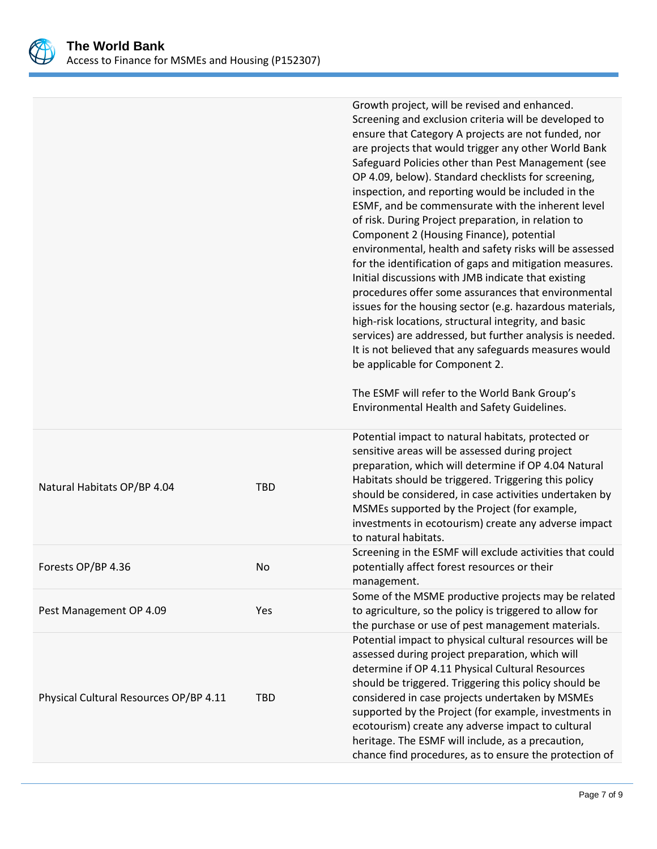

|                                        |            | Growth project, will be revised and enhanced.<br>Screening and exclusion criteria will be developed to<br>ensure that Category A projects are not funded, nor<br>are projects that would trigger any other World Bank<br>Safeguard Policies other than Pest Management (see<br>OP 4.09, below). Standard checklists for screening,<br>inspection, and reporting would be included in the<br>ESMF, and be commensurate with the inherent level<br>of risk. During Project preparation, in relation to<br>Component 2 (Housing Finance), potential<br>environmental, health and safety risks will be assessed<br>for the identification of gaps and mitigation measures.<br>Initial discussions with JMB indicate that existing<br>procedures offer some assurances that environmental<br>issues for the housing sector (e.g. hazardous materials,<br>high-risk locations, structural integrity, and basic<br>services) are addressed, but further analysis is needed.<br>It is not believed that any safeguards measures would<br>be applicable for Component 2.<br>The ESMF will refer to the World Bank Group's<br>Environmental Health and Safety Guidelines. |
|----------------------------------------|------------|-----------------------------------------------------------------------------------------------------------------------------------------------------------------------------------------------------------------------------------------------------------------------------------------------------------------------------------------------------------------------------------------------------------------------------------------------------------------------------------------------------------------------------------------------------------------------------------------------------------------------------------------------------------------------------------------------------------------------------------------------------------------------------------------------------------------------------------------------------------------------------------------------------------------------------------------------------------------------------------------------------------------------------------------------------------------------------------------------------------------------------------------------------------------|
| Natural Habitats OP/BP 4.04            | <b>TBD</b> | Potential impact to natural habitats, protected or<br>sensitive areas will be assessed during project<br>preparation, which will determine if OP 4.04 Natural<br>Habitats should be triggered. Triggering this policy<br>should be considered, in case activities undertaken by<br>MSMEs supported by the Project (for example,<br>investments in ecotourism) create any adverse impact<br>to natural habitats.                                                                                                                                                                                                                                                                                                                                                                                                                                                                                                                                                                                                                                                                                                                                                 |
| Forests OP/BP 4.36                     | No         | Screening in the ESMF will exclude activities that could<br>potentially affect forest resources or their<br>management.                                                                                                                                                                                                                                                                                                                                                                                                                                                                                                                                                                                                                                                                                                                                                                                                                                                                                                                                                                                                                                         |
| Pest Management OP 4.09                | Yes        | Some of the MSME productive projects may be related<br>to agriculture, so the policy is triggered to allow for<br>the purchase or use of pest management materials.                                                                                                                                                                                                                                                                                                                                                                                                                                                                                                                                                                                                                                                                                                                                                                                                                                                                                                                                                                                             |
| Physical Cultural Resources OP/BP 4.11 | <b>TBD</b> | Potential impact to physical cultural resources will be<br>assessed during project preparation, which will<br>determine if OP 4.11 Physical Cultural Resources<br>should be triggered. Triggering this policy should be<br>considered in case projects undertaken by MSMEs<br>supported by the Project (for example, investments in<br>ecotourism) create any adverse impact to cultural<br>heritage. The ESMF will include, as a precaution,<br>chance find procedures, as to ensure the protection of                                                                                                                                                                                                                                                                                                                                                                                                                                                                                                                                                                                                                                                         |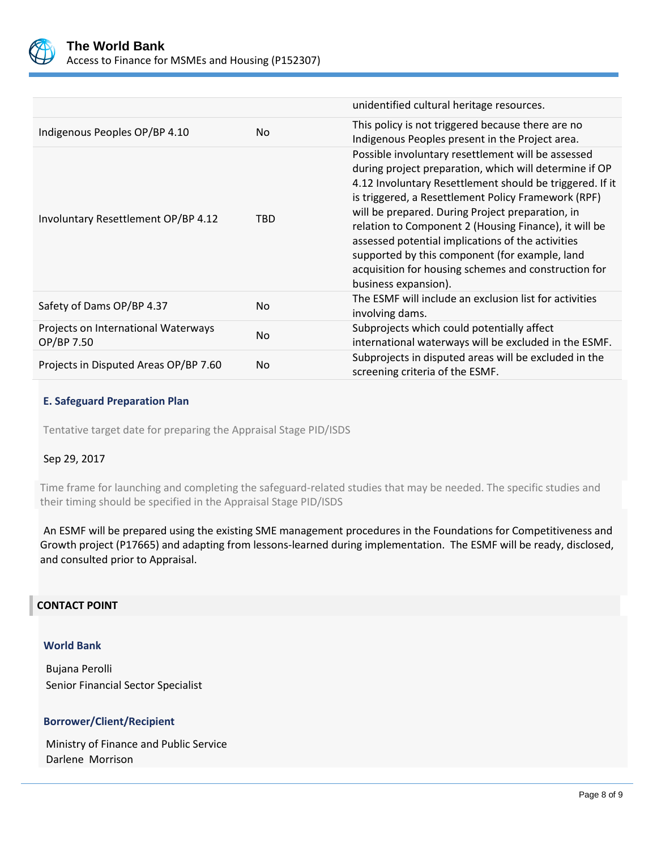

|                                                   |            | unidentified cultural heritage resources.                                                                                                                                                                                                                                                                                                                                                                                                                                                                                           |
|---------------------------------------------------|------------|-------------------------------------------------------------------------------------------------------------------------------------------------------------------------------------------------------------------------------------------------------------------------------------------------------------------------------------------------------------------------------------------------------------------------------------------------------------------------------------------------------------------------------------|
| Indigenous Peoples OP/BP 4.10                     | No.        | This policy is not triggered because there are no<br>Indigenous Peoples present in the Project area.                                                                                                                                                                                                                                                                                                                                                                                                                                |
| Involuntary Resettlement OP/BP 4.12               | <b>TBD</b> | Possible involuntary resettlement will be assessed<br>during project preparation, which will determine if OP<br>4.12 Involuntary Resettlement should be triggered. If it<br>is triggered, a Resettlement Policy Framework (RPF)<br>will be prepared. During Project preparation, in<br>relation to Component 2 (Housing Finance), it will be<br>assessed potential implications of the activities<br>supported by this component (for example, land<br>acquisition for housing schemes and construction for<br>business expansion). |
| Safety of Dams OP/BP 4.37                         | No.        | The ESMF will include an exclusion list for activities<br>involving dams.                                                                                                                                                                                                                                                                                                                                                                                                                                                           |
| Projects on International Waterways<br>OP/BP 7.50 | No.        | Subprojects which could potentially affect<br>international waterways will be excluded in the ESMF.                                                                                                                                                                                                                                                                                                                                                                                                                                 |
| Projects in Disputed Areas OP/BP 7.60             | No.        | Subprojects in disputed areas will be excluded in the<br>screening criteria of the ESMF.                                                                                                                                                                                                                                                                                                                                                                                                                                            |

# **E. Safeguard Preparation Plan**

Tentative target date for preparing the Appraisal Stage PID/ISDS

# Sep 29, 2017

Time frame for launching and completing the safeguard-related studies that may be needed. The specific studies and their timing should be specified in the Appraisal Stage PID/ISDS

An ESMF will be prepared using the existing SME management procedures in the Foundations for Competitiveness and Growth project (P17665) and adapting from lessons-learned during implementation. The ESMF will be ready, disclosed, and consulted prior to Appraisal.

#### **CONTACT POINT**

#### **World Bank**

Bujana Perolli Senior Financial Sector Specialist

#### **Borrower/Client/Recipient**

Ministry of Finance and Public Service Darlene Morrison